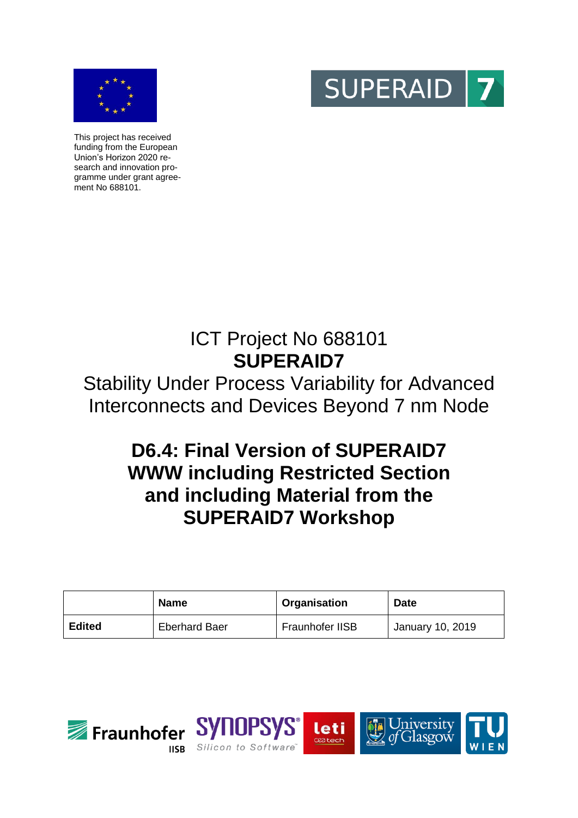

This project has received funding from the European Union's Horizon 2020 research and innovation programme under grant agreement No 688101.



# ICT Project No 688101 **SUPERAID7**

### Stability Under Process Variability for Advanced Interconnects and Devices Beyond 7 nm Node

## **D6.4: Final Version of SUPERAID7 WWW including Restricted Section and including Material from the SUPERAID7 Workshop**

|        | Name                 | Organisation           | <b>Date</b>      |
|--------|----------------------|------------------------|------------------|
| Edited | <b>Eberhard Baer</b> | <b>Fraunhofer IISB</b> | January 10, 2019 |



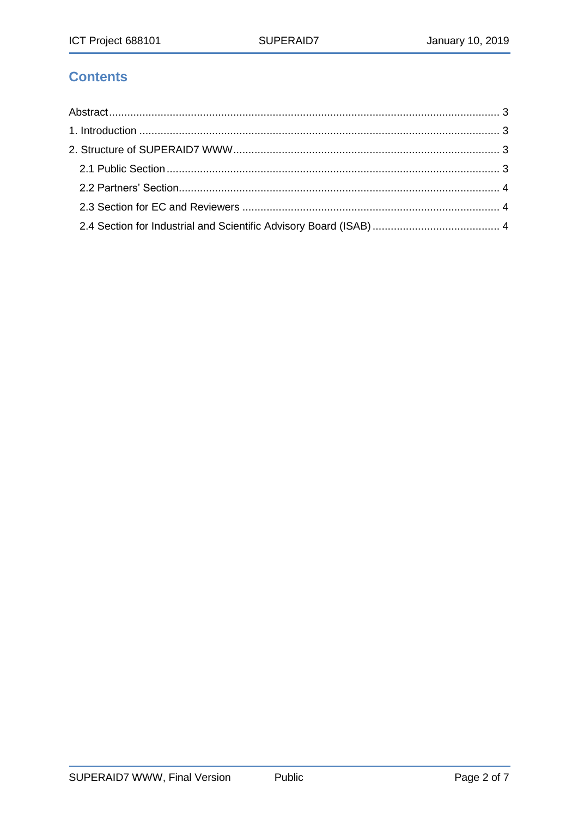### **Contents**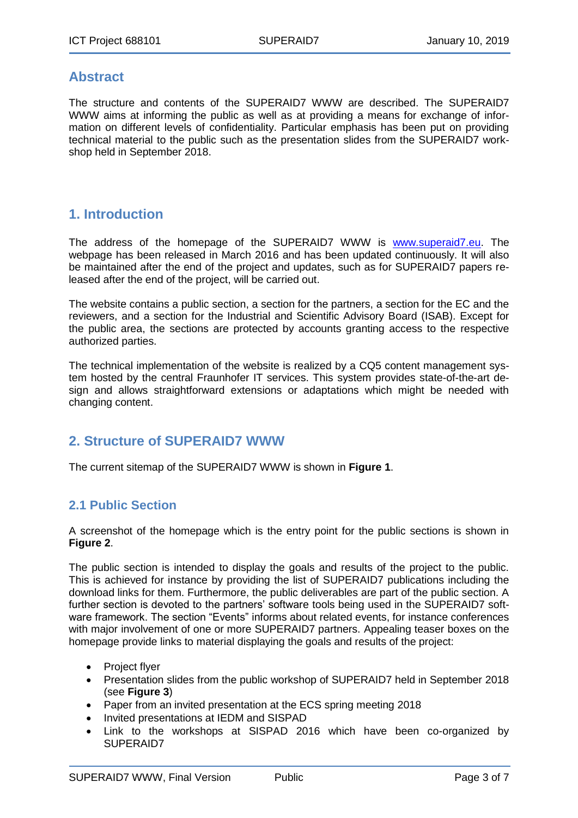#### <span id="page-2-0"></span>**Abstract**

The structure and contents of the SUPERAID7 WWW are described. The SUPERAID7 WWW aims at informing the public as well as at providing a means for exchange of information on different levels of confidentiality. Particular emphasis has been put on providing technical material to the public such as the presentation slides from the SUPERAID7 workshop held in September 2018.

#### <span id="page-2-1"></span>**1. Introduction**

The address of the homepage of the SUPERAID7 WWW is [www.superaid7.eu.](http://www.superaid7.eu/) The webpage has been released in March 2016 and has been updated continuously. It will also be maintained after the end of the project and updates, such as for SUPERAID7 papers released after the end of the project, will be carried out.

The website contains a public section, a section for the partners, a section for the EC and the reviewers, and a section for the Industrial and Scientific Advisory Board (ISAB). Except for the public area, the sections are protected by accounts granting access to the respective authorized parties.

The technical implementation of the website is realized by a CQ5 content management system hosted by the central Fraunhofer IT services. This system provides state-of-the-art design and allows straightforward extensions or adaptations which might be needed with changing content.

#### <span id="page-2-2"></span>**2. Structure of SUPERAID7 WWW**

The current sitemap of the SUPERAID7 WWW is shown in **Figure 1**.

#### <span id="page-2-3"></span>**2.1 Public Section**

A screenshot of the homepage which is the entry point for the public sections is shown in **Figure 2**.

The public section is intended to display the goals and results of the project to the public. This is achieved for instance by providing the list of SUPERAID7 publications including the download links for them. Furthermore, the public deliverables are part of the public section. A further section is devoted to the partners' software tools being used in the SUPERAID7 software framework. The section "Events" informs about related events, for instance conferences with major involvement of one or more SUPERAID7 partners. Appealing teaser boxes on the homepage provide links to material displaying the goals and results of the project:

- Project flyer
- Presentation slides from the public workshop of SUPERAID7 held in September 2018 (see **Figure 3**)
- Paper from an invited presentation at the ECS spring meeting 2018
- Invited presentations at IEDM and SISPAD
- Link to the workshops at SISPAD 2016 which have been co-organized by SUPERAID7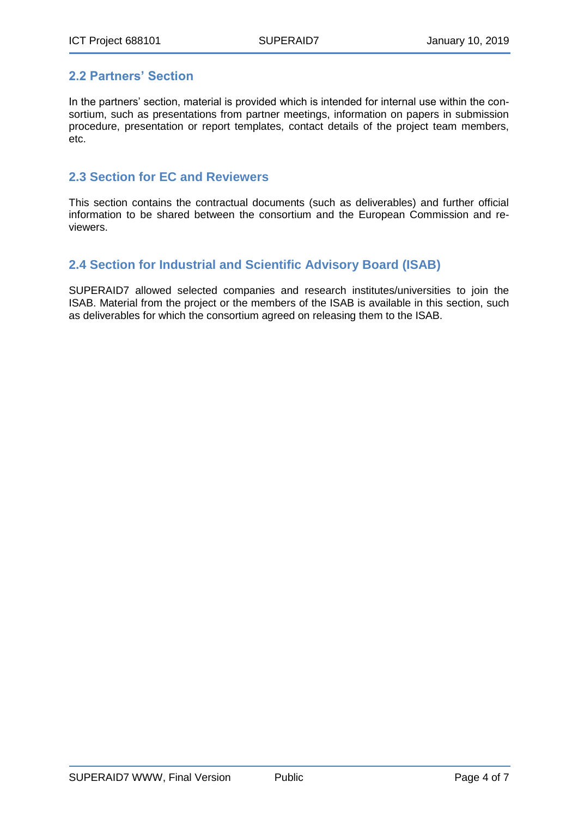#### <span id="page-3-0"></span>**2.2 Partners' Section**

In the partners' section, material is provided which is intended for internal use within the consortium, such as presentations from partner meetings, information on papers in submission procedure, presentation or report templates, contact details of the project team members, etc.

#### <span id="page-3-1"></span>**2.3 Section for EC and Reviewers**

This section contains the contractual documents (such as deliverables) and further official information to be shared between the consortium and the European Commission and reviewers.

#### <span id="page-3-2"></span>**2.4 Section for Industrial and Scientific Advisory Board (ISAB)**

SUPERAID7 allowed selected companies and research institutes/universities to join the ISAB. Material from the project or the members of the ISAB is available in this section, such as deliverables for which the consortium agreed on releasing them to the ISAB.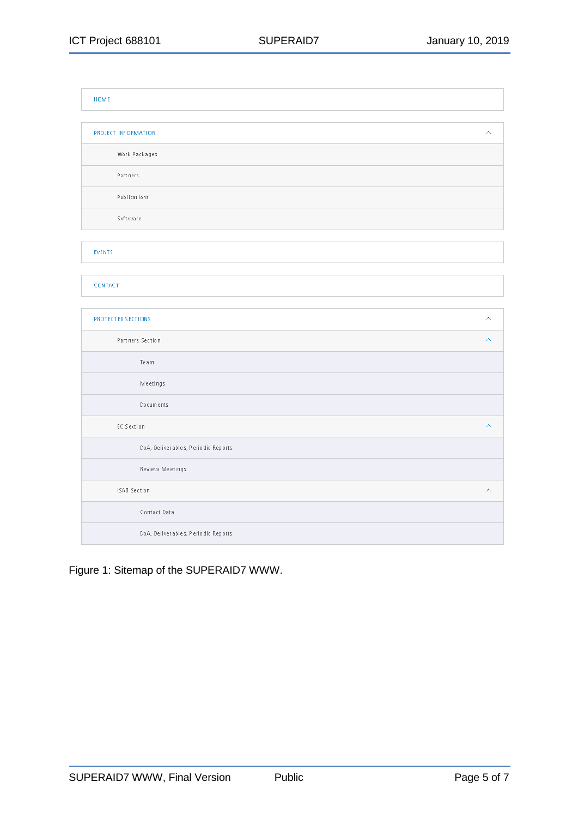| HOME                 |                         |
|----------------------|-------------------------|
|                      |                         |
| PROJECT INFORMATION. | $\widehat{\phantom{a}}$ |
| Work Packages        |                         |
| Partners             |                         |
| Publications         |                         |
| Software             |                         |
|                      |                         |

EVENTS

#### CONTACT

| PROTECTED SECTIONS                  | $\widehat{\phantom{a}}$ |
|-------------------------------------|-------------------------|
| Partners Section                    | $\widehat{\phantom{a}}$ |
| Team                                |                         |
| Meetings                            |                         |
| Documents                           |                         |
| EC Section                          | $\sim$                  |
| DoA, Deliverables, Periodic Reports |                         |
| Review Meetings                     |                         |
| <b>ISAB Section</b>                 | $\widehat{\phantom{a}}$ |
| Contact Data                        |                         |
| DoA, Deliverables, Periodic Reports |                         |

Figure 1: Sitemap of the SUPERAID7 WWW.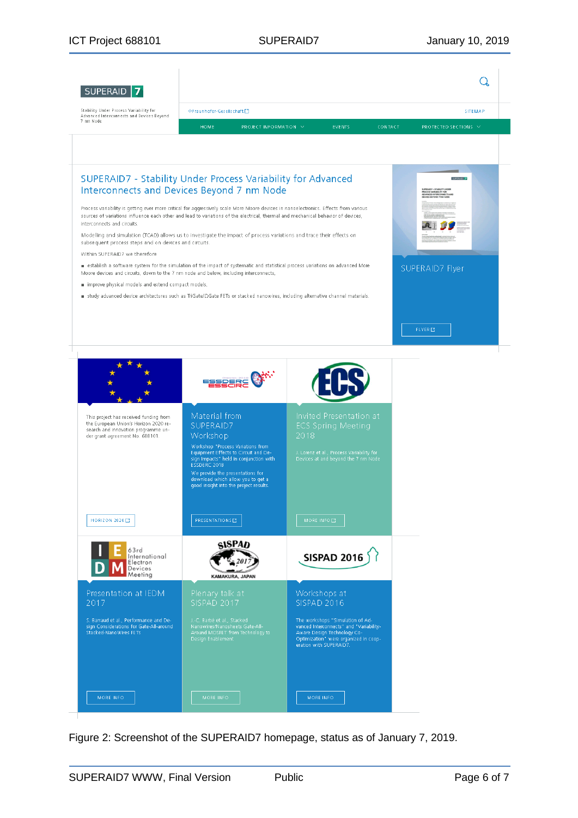| <b>SUPERAID</b>                                                                                                                                                                                                                                                                 |                                                                                                                                                                                                                                                                          |                                                                                                                                                                                |                     |                           |
|---------------------------------------------------------------------------------------------------------------------------------------------------------------------------------------------------------------------------------------------------------------------------------|--------------------------------------------------------------------------------------------------------------------------------------------------------------------------------------------------------------------------------------------------------------------------|--------------------------------------------------------------------------------------------------------------------------------------------------------------------------------|---------------------|---------------------------|
| Stability Under Process Variability for<br>Advanced Interconnects and Devices Beyond<br>7 nm Node                                                                                                                                                                               | >Fraunh ofer-Gesellschaft                                                                                                                                                                                                                                                |                                                                                                                                                                                |                     | <b>SITEMAP</b>            |
|                                                                                                                                                                                                                                                                                 | HOME<br>PROJECT INFORMATION $\sqrt{}$                                                                                                                                                                                                                                    | <b>EVENTS</b>                                                                                                                                                                  | CONTACT             | PROTECTED SECTIONS $\vee$ |
|                                                                                                                                                                                                                                                                                 | SUPERAID7 - Stability Under Process Variability for Advanced<br>Interconnects and Devices Beyond 7 nm Node                                                                                                                                                               |                                                                                                                                                                                |                     |                           |
| interconnects and circuits.                                                                                                                                                                                                                                                     | Process variability is getting ever more critical for aggressively scale More Moore devices in nanoelectronics. Effects from various<br>sources of variations influence each other and lead to variations of the electrical, thermal and mechanical behavior of devices, |                                                                                                                                                                                |                     |                           |
| subsequent process steps and on devices and circuits.<br>Within SUPERAID7 we therefore                                                                                                                                                                                          | Modelling and simulation (TCAD) allows us to investigate the impact of process variations and trace their effects on                                                                                                                                                     |                                                                                                                                                                                |                     |                           |
| establish a software system for the simulation of the impact of systematic and statistical process variations on advanced More<br>Moore devices and circuits, down to the 7 nm node and below, including interconnects,<br>m improve physical models and extend compact models, |                                                                                                                                                                                                                                                                          | SUPERAID7 Flyer                                                                                                                                                                |                     |                           |
|                                                                                                                                                                                                                                                                                 | study advanced device architectures such as TriGate/ΩGate FETs or stacked nanowires, including alternative channel materials.                                                                                                                                            |                                                                                                                                                                                |                     |                           |
|                                                                                                                                                                                                                                                                                 |                                                                                                                                                                                                                                                                          |                                                                                                                                                                                | FLYER <sup>12</sup> |                           |
|                                                                                                                                                                                                                                                                                 |                                                                                                                                                                                                                                                                          |                                                                                                                                                                                |                     |                           |
|                                                                                                                                                                                                                                                                                 | ESSDER                                                                                                                                                                                                                                                                   |                                                                                                                                                                                |                     |                           |
| This project has received funding from<br>the European Union's Horizon 2020 re-<br>search and innovation programme un-<br>der grant agreement No. 688101.                                                                                                                       | Material from<br>SUPERAID7<br>Workshop                                                                                                                                                                                                                                   | Invited Presentation at<br><b>ECS Spring Meeting</b><br>2018                                                                                                                   |                     |                           |
|                                                                                                                                                                                                                                                                                 | Workshop "Process Variations from<br>Equipment Effects to Circuit and De-<br>sign Impacts" held in conjunction with<br>ESSDERC 2018<br>We provide the presentations for<br>download which allow you to get a<br>good insight into the project results.                   | J. Lorenz et al., Process Variability for<br>Devices at and beyond the 7 nm Node                                                                                               |                     |                           |
| HORIZON 2020 [3]                                                                                                                                                                                                                                                                | PRESENTATIONS <sup>[2]</sup>                                                                                                                                                                                                                                             | MORE INFOID                                                                                                                                                                    |                     |                           |
| 63rd<br>International<br>Electron<br>Devices<br>Meeting                                                                                                                                                                                                                         | <b>SISPAD</b><br>KAMAKURA, JAPAN                                                                                                                                                                                                                                         | SISPAD 2016 $\frac{1}{2}$                                                                                                                                                      |                     |                           |
| Presentation at IEDM<br>2017                                                                                                                                                                                                                                                    | Plenary talk at<br>SISPAD 2017                                                                                                                                                                                                                                           | Workshops at<br>SISPAD 2016                                                                                                                                                    |                     |                           |
| S. Barraud et al., Performance and De-<br>sign Considerations for Gate-All-around<br>Stacked-Nano Wires FETs                                                                                                                                                                    | J.-C. Barbé et al., Stacked<br>Nanowires/Nanosheets Gate-All-<br>Around MOSFET from Technology to<br>Design Enablement                                                                                                                                                   | The workshops "Simulation of Ad-<br>vanced Interconnects" and "Variability-<br>Aware Design Technology Co-<br>Optimization" were organized in coop-<br>eration with SUPERAID7. |                     |                           |
| MORE INFO.                                                                                                                                                                                                                                                                      | MORE INFO.                                                                                                                                                                                                                                                               | MORE INFO.                                                                                                                                                                     |                     |                           |

Figure 2: Screenshot of the SUPERAID7 homepage, status as of January 7, 2019.